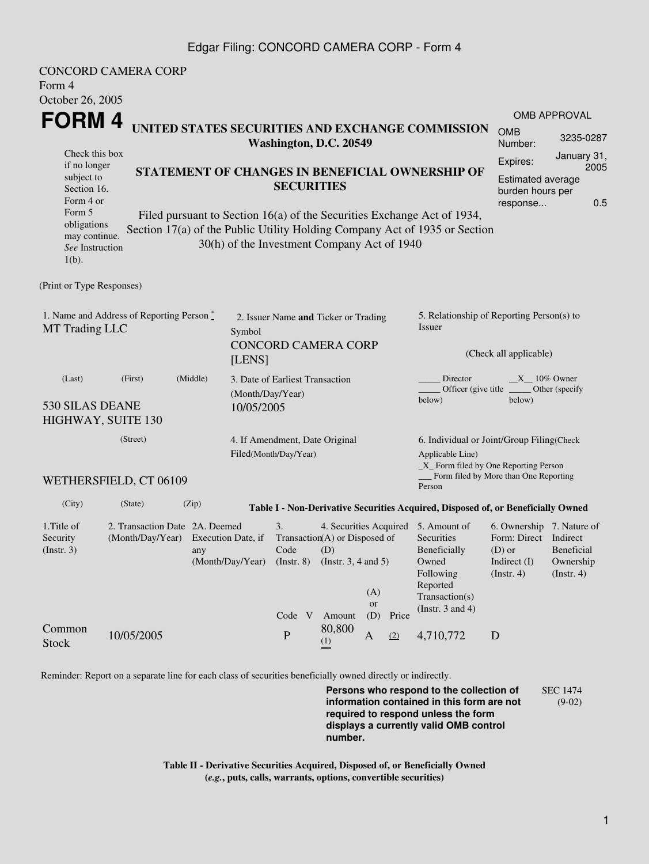#### Edgar Filing: CONCORD CAMERA CORP - Form 4

| <b>CONCORD CAMERA CORP</b><br>Form 4<br>October 26, 2005                                       |                                     |                                |                                             |                                                    |                            |                                           |                                                                   |                                                                                  |                                       |                  |  |  |
|------------------------------------------------------------------------------------------------|-------------------------------------|--------------------------------|---------------------------------------------|----------------------------------------------------|----------------------------|-------------------------------------------|-------------------------------------------------------------------|----------------------------------------------------------------------------------|---------------------------------------|------------------|--|--|
| FORM 4                                                                                         |                                     |                                |                                             |                                                    |                            |                                           |                                                                   |                                                                                  | <b>OMB APPROVAL</b>                   |                  |  |  |
| UNITED STATES SECURITIES AND EXCHANGE COMMISSION<br>Washington, D.C. 20549                     |                                     |                                |                                             |                                                    |                            |                                           |                                                                   | <b>OMB</b><br>Number:                                                            | 3235-0287                             |                  |  |  |
| Check this box<br>if no longer                                                                 |                                     |                                |                                             |                                                    |                            | Expires:                                  | January 31,<br>2005                                               |                                                                                  |                                       |                  |  |  |
| subject to                                                                                     |                                     |                                |                                             | STATEMENT OF CHANGES IN BENEFICIAL OWNERSHIP OF    |                            |                                           |                                                                   |                                                                                  | Estimated average                     |                  |  |  |
| Section 16.<br>Form 4 or                                                                       |                                     |                                |                                             |                                                    | <b>SECURITIES</b>          |                                           |                                                                   |                                                                                  |                                       | burden hours per |  |  |
| Form 5                                                                                         |                                     |                                |                                             |                                                    |                            |                                           |                                                                   | Filed pursuant to Section 16(a) of the Securities Exchange Act of 1934,          | response                              | 0.5              |  |  |
| obligations<br>may continue.                                                                   |                                     |                                |                                             |                                                    |                            |                                           |                                                                   | Section 17(a) of the Public Utility Holding Company Act of 1935 or Section       |                                       |                  |  |  |
| See Instruction<br>$1(b)$ .                                                                    |                                     |                                | 30(h) of the Investment Company Act of 1940 |                                                    |                            |                                           |                                                                   |                                                                                  |                                       |                  |  |  |
| (Print or Type Responses)                                                                      |                                     |                                |                                             |                                                    |                            |                                           |                                                                   |                                                                                  |                                       |                  |  |  |
| 1. Name and Address of Reporting Person $\stackrel{*}{\mathbb{L}}$<br>MT Trading LLC<br>Symbol |                                     |                                |                                             | 2. Issuer Name and Ticker or Trading               |                            |                                           |                                                                   | 5. Relationship of Reporting Person(s) to<br><b>Issuer</b>                       |                                       |                  |  |  |
|                                                                                                |                                     |                                | [LENS]                                      |                                                    | <b>CONCORD CAMERA CORP</b> |                                           |                                                                   | (Check all applicable)                                                           |                                       |                  |  |  |
| (Last)                                                                                         | (Middle)<br>(First)                 |                                |                                             | 3. Date of Earliest Transaction                    |                            |                                           | Director<br>$X_{10\%}$ Owner<br>Officer (give title $\phantom{0}$ |                                                                                  |                                       |                  |  |  |
| 530 SILAS DEANE<br>HIGHWAY, SUITE 130                                                          |                                     | (Month/Day/Year)<br>10/05/2005 |                                             |                                                    |                            |                                           | below)                                                            | Other (specify                                                                   |                                       |                  |  |  |
|                                                                                                |                                     | 4. If Amendment, Date Original |                                             |                                                    |                            | 6. Individual or Joint/Group Filing(Check |                                                                   |                                                                                  |                                       |                  |  |  |
| (Street)                                                                                       |                                     |                                |                                             | Filed(Month/Day/Year)                              |                            |                                           |                                                                   | Applicable Line)                                                                 |                                       |                  |  |  |
|                                                                                                | WETHERSFIELD, CT 06109              |                                |                                             |                                                    |                            |                                           |                                                                   | $\_X$ Form filed by One Reporting Person<br>Person                               | Form filed by More than One Reporting |                  |  |  |
| (City)                                                                                         | (State)                             | (Zip)                          |                                             |                                                    |                            |                                           |                                                                   | Table I - Non-Derivative Securities Acquired, Disposed of, or Beneficially Owned |                                       |                  |  |  |
| 1. Title of                                                                                    | 2. Transaction Date 2A. Deemed      |                                | 4. Securities Acquired 5. Amount of<br>3.   |                                                    |                            |                                           |                                                                   | 6. Ownership 7. Nature of                                                        |                                       |                  |  |  |
| Security<br>$($ Instr. 3 $)$                                                                   | (Month/Day/Year) Execution Date, if |                                | Transaction(A) or Disposed of<br>$Code$ (D) |                                                    |                            | Securities<br>Beneficially<br>Owned       | Form: Direct Indirect<br>(D) or Beneficial<br>Indirect $(I)$      | Ownership                                                                        |                                       |                  |  |  |
| (Month/Day/Year)                                                                               |                                     |                                |                                             | $($ Instr. $8)$<br>(Instr. $3, 4$ and $5$ )<br>(A) |                            |                                           |                                                                   | Following<br>Reported                                                            | (Insert. 4)                           | (Insert. 4)      |  |  |
|                                                                                                |                                     |                                |                                             |                                                    |                            | or                                        |                                                                   | Transaction(s)<br>(Instr. $3$ and $4$ )                                          |                                       |                  |  |  |
|                                                                                                |                                     |                                |                                             | Code V                                             | Amount                     | (D)                                       | Price                                                             |                                                                                  |                                       |                  |  |  |
| Common<br><b>Stock</b>                                                                         | 10/05/2005                          |                                |                                             | $\mathbf P$                                        | 80,800<br>$\frac{(1)}{2}$  | $\mathbf{A}$                              | (2)                                                               | 4,710,772                                                                        | D                                     |                  |  |  |

Reminder: Report on a separate line for each class of securities beneficially owned directly or indirectly.

**Persons who respond to the collection of information contained in this form are not required to respond unless the form displays a currently valid OMB control number.** SEC 1474 (9-02)

**Table II - Derivative Securities Acquired, Disposed of, or Beneficially Owned (***e.g.***, puts, calls, warrants, options, convertible securities)**